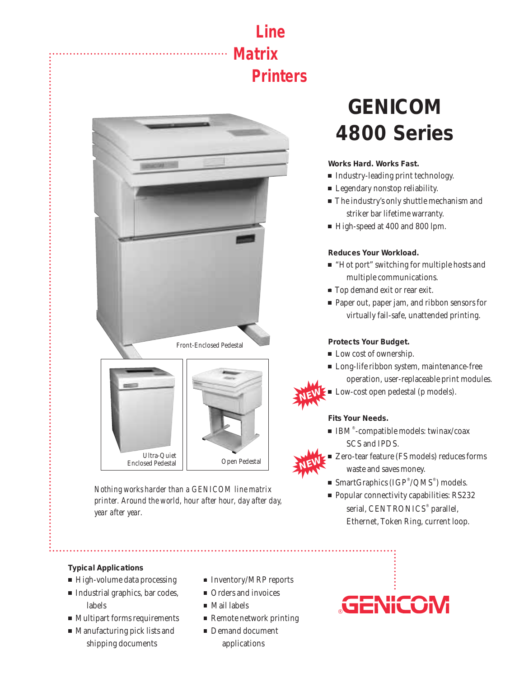## **Line Matrix Printers**





*Nothing works harder than a GENICOM line matrix printer. Around the world, hour after hour, day after day, year after year.*

# **GENICOM 4800 Series**

**Works Hard. Works Fast.**

- Industry-leading print technology.
- **Example 1** Legendary nonstop reliability.
- **The industry's only shuttle mechanism and** striker bar lifetime warranty.
- High-speed at 400 and 800 lpm.

### **Reduces Your Workload.**

- "Hot port" switching for multiple hosts and multiple communications.
- **Top demand exit or rear exit.**
- Paper out, paper jam, and ribbon sensors for virtually fail-safe, unattended printing.

## **Protects Your Budget.**

- Low cost of ownership.
- $\blacksquare$  Long-life ribbon system, maintenance-free operation, user-replaceable print modules.
- **Low-cost open pedestal (p models).**

### **Fits Your Needs.**

**NEW**

- $\blacksquare$  IBM®-compatible models: twinax/coax SCS and IPDS.
- Zero-tear feature (FS models) reduces forms waste and saves money. **NEW**
	- $\blacksquare$  SmartGraphics (IGP®/QMS®) models.
	- Popular connectivity capabilities: RS232 serial, CENTRONICS® parallel, Ethernet, Token Ring, current loop.

### **Typical Applications**

- High-volume data processing  **Inventory/MRP** reports
- Industrial graphics, bar codes, Orders and invoices labels • Mail labels
- Multipart forms requirements Remote network printing
- Manufacturing pick lists and Demand document shipping documents applications
- 
- 
- 
- -